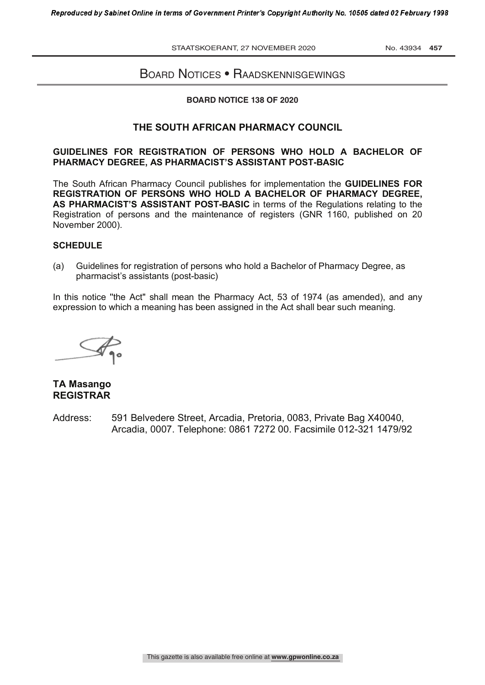STAATSKOERANT, 27 NOVEMBER 2020 No. 43934 457

# Board Notices • Raadskennisgewings

#### **BOARD NOTICE 138 OF 2020**

## **THE SOUTH AFRICAN PHARMACY COUNCIL**

### **GUIDELINES FOR REGISTRATION OF PERSONS WHO HOLD A BACHELOR OF PHARMACY DEGREE, AS PHARMACIST'S ASSISTANT POST-BASIC**

The South African Pharmacy Council publishes for implementation the **GUIDELINES FOR REGISTRATION OF PERSONS WHO HOLD A BACHELOR OF PHARMACY DEGREE, AS PHARMACIST'S ASSISTANT POST-BASIC** in terms of the Regulations relating to the Registration of persons and the maintenance of registers (GNR 1160, published on 20 November 2000).

### **SCHEDULE**

(a) Guidelines for registration of persons who hold a Bachelor of Pharmacy Degree, as pharmacist's assistants (post-basic)

In this notice ''the Act" shall mean the Pharmacy Act, 53 of 1974 (as amended), and any expression to which a meaning has been assigned in the Act shall bear such meaning.

# **TA Masango REGISTRAR**

Address: 591 Belvedere Street, Arcadia, Pretoria, 0083, Private Bag X40040, Arcadia, 0007. Telephone: 0861 7272 00. Facsimile 012-321 1479/92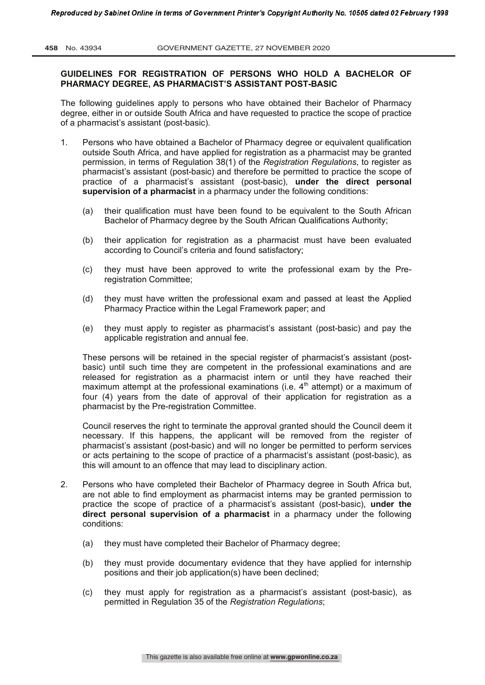#### **GUIDELINES FOR REGISTRATION OF PERSONS WHO HOLD A BACHELOR OF PHARMACY DEGREE, AS PHARMACIST'S ASSISTANT POST-BASIC**

The following guidelines apply to persons who have obtained their Bachelor of Pharmacy degree, either in or outside South Africa and have requested to practice the scope of practice of a pharmacist's assistant (post-basic).

- 1. Persons who have obtained a Bachelor of Pharmacy degree or equivalent qualification outside South Africa, and have applied for registration as a pharmacist may be granted permission, in terms of Regulation 38(1) of the *Registration Regulations*, to register as pharmacist's assistant (post-basic) and therefore be permitted to practice the scope of practice of a pharmacist's assistant (post-basic), **under the direct personal supervision of a pharmacist** in a pharmacy under the following conditions:
	- (a) their qualification must have been found to be equivalent to the South African Bachelor of Pharmacy degree by the South African Qualifications Authority;
	- (b) their application for registration as a pharmacist must have been evaluated according to Council's criteria and found satisfactory;
	- (c) they must have been approved to write the professional exam by the Preregistration Committee;
	- (d) they must have written the professional exam and passed at least the Applied Pharmacy Practice within the Legal Framework paper; and
	- (e) they must apply to register as pharmacist's assistant (post-basic) and pay the applicable registration and annual fee.

These persons will be retained in the special register of pharmacist's assistant (postbasic) until such time they are competent in the professional examinations and are released for registration as a pharmacist intern or until they have reached their maximum attempt at the professional examinations (i.e.  $4<sup>th</sup>$  attempt) or a maximum of four (4) years from the date of approval of their application for registration as a pharmacist by the Pre-registration Committee.

Council reserves the right to terminate the approval granted should the Council deem it necessary. If this happens, the applicant will be removed from the register of pharmacist's assistant (post-basic) and will no longer be permitted to perform services or acts pertaining to the scope of practice of a pharmacist's assistant (post-basic), as this will amount to an offence that may lead to disciplinary action.

- 2. Persons who have completed their Bachelor of Pharmacy degree in South Africa but, are not able to find employment as pharmacist interns may be granted permission to practice the scope of practice of a pharmacist's assistant (post-basic), **under the direct personal supervision of a pharmacist** in a pharmacy under the following conditions:
	- (a) they must have completed their Bachelor of Pharmacy degree;
	- (b) they must provide documentary evidence that they have applied for internship positions and their job application(s) have been declined;
	- (c) they must apply for registration as a pharmacist's assistant (post-basic), as permitted in Regulation 35 of the *Registration Regulations*;